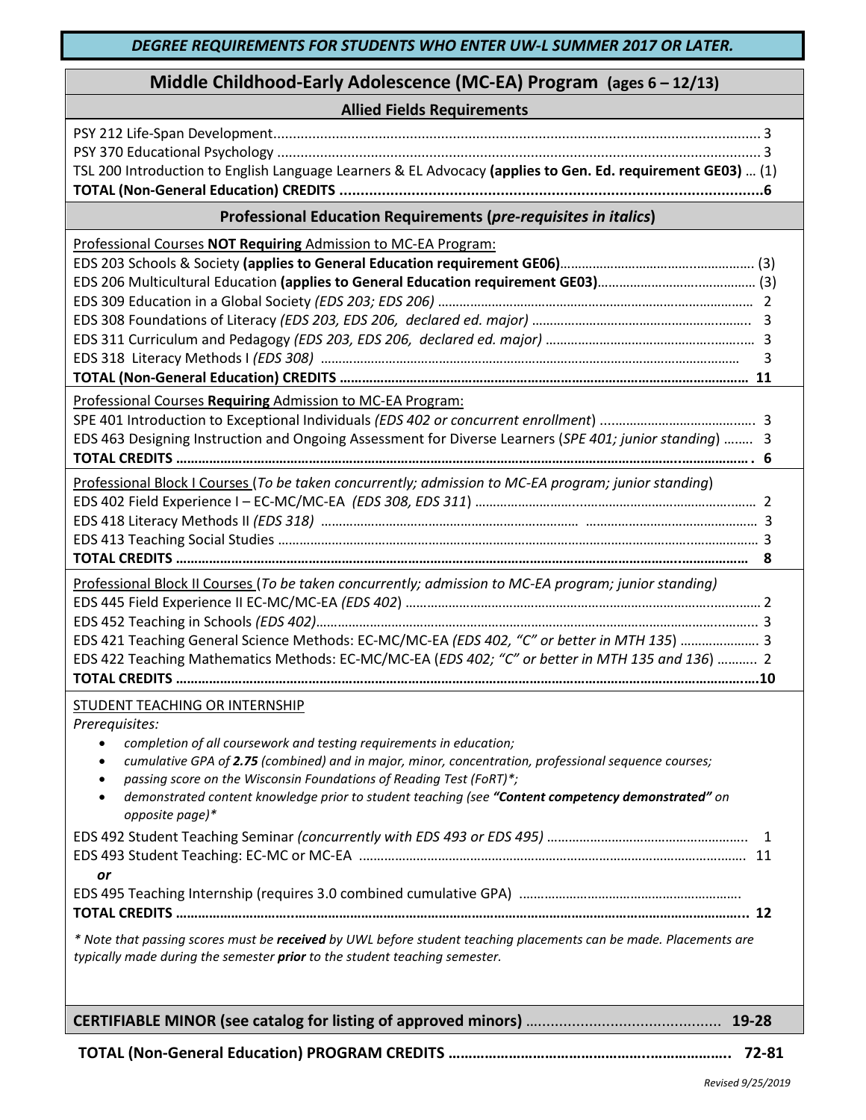| Middle Childhood-Early Adolescence (MC-EA) Program (ages 6 - 12/13)                                                                                                                                                                                                                                                                                                                                                                                                                        |  |  |
|--------------------------------------------------------------------------------------------------------------------------------------------------------------------------------------------------------------------------------------------------------------------------------------------------------------------------------------------------------------------------------------------------------------------------------------------------------------------------------------------|--|--|
| <b>Allied Fields Requirements</b>                                                                                                                                                                                                                                                                                                                                                                                                                                                          |  |  |
| TSL 200 Introduction to English Language Learners & EL Advocacy (applies to Gen. Ed. requirement GE03)  (1)                                                                                                                                                                                                                                                                                                                                                                                |  |  |
| Professional Education Requirements (pre-requisites in italics)                                                                                                                                                                                                                                                                                                                                                                                                                            |  |  |
| Professional Courses NOT Requiring Admission to MC-EA Program:<br>3                                                                                                                                                                                                                                                                                                                                                                                                                        |  |  |
| Professional Courses Requiring Admission to MC-EA Program:<br>EDS 463 Designing Instruction and Ongoing Assessment for Diverse Learners (SPE 401; junior standing)  3                                                                                                                                                                                                                                                                                                                      |  |  |
| Professional Block I Courses (To be taken concurrently; admission to MC-EA program; junior standing)<br>8                                                                                                                                                                                                                                                                                                                                                                                  |  |  |
| Professional Block II Courses (To be taken concurrently; admission to MC-EA program; junior standing)<br>EDS 421 Teaching General Science Methods: EC-MC/MC-EA (EDS 402, "C" or better in MTH 135)  3<br>EDS 422 Teaching Mathematics Methods: EC-MC/MC-EA (EDS 402; "C" or better in MTH 135 and 136)  2                                                                                                                                                                                  |  |  |
| <b>STUDENT TEACHING OR INTERNSHIP</b><br>Prerequisites:<br>completion of all coursework and testing requirements in education;<br>$\bullet$<br>cumulative GPA of 2.75 (combined) and in major, minor, concentration, professional sequence courses;<br>$\bullet$<br>passing score on the Wisconsin Foundations of Reading Test (FoRT)*;<br>$\bullet$<br>demonstrated content knowledge prior to student teaching (see "Content competency demonstrated" on<br>$\bullet$<br>opposite page)* |  |  |
| or                                                                                                                                                                                                                                                                                                                                                                                                                                                                                         |  |  |
|                                                                                                                                                                                                                                                                                                                                                                                                                                                                                            |  |  |
| * Note that passing scores must be received by UWL before student teaching placements can be made. Placements are<br>typically made during the semester prior to the student teaching semester.                                                                                                                                                                                                                                                                                            |  |  |
|                                                                                                                                                                                                                                                                                                                                                                                                                                                                                            |  |  |